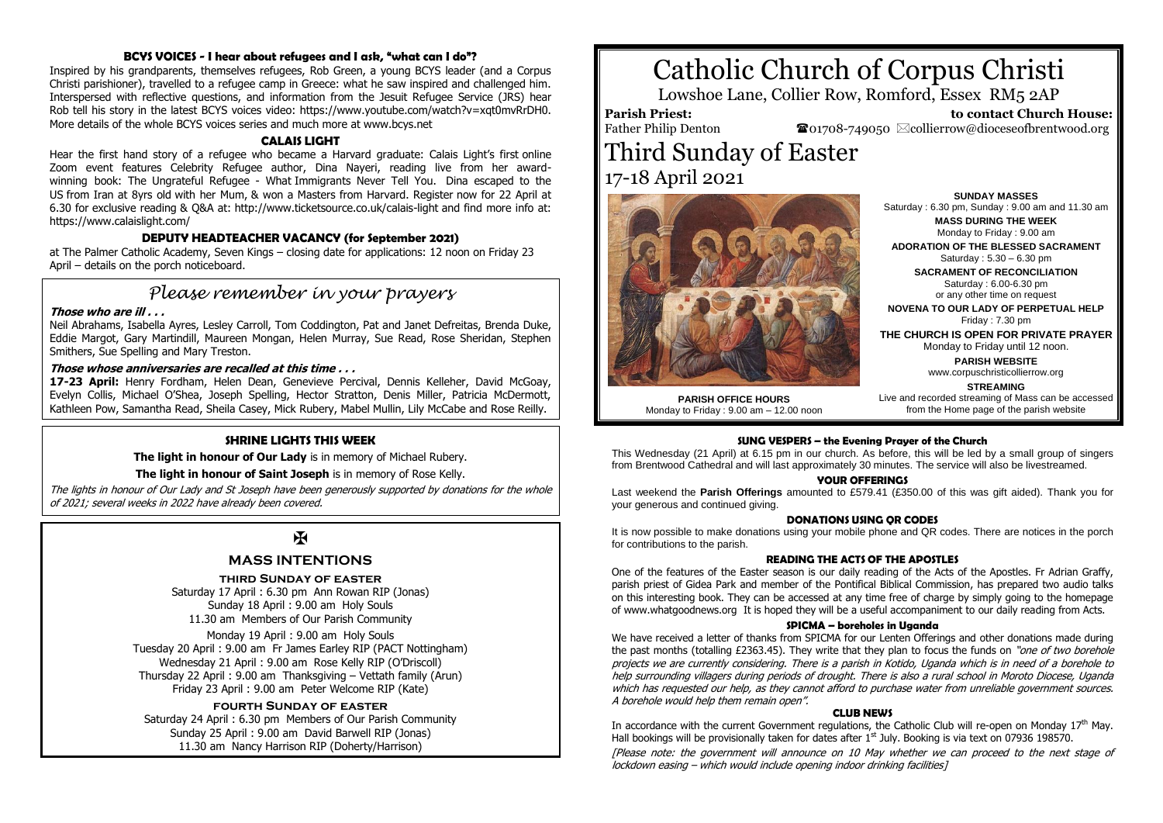# **BCYS VOICES - I hear about refugees and I ask, "what can I do"?**

Inspired by his grandparents, themselves refugees, Rob Green, a young BCYS leader (and a Corpus Christi parishioner), travelled to a refugee camp in Greece: what he saw inspired and challenged him. Interspersed with reflective questions, and information from the Jesuit Refugee Service (JRS) hear Rob tell his story in the latest BCYS voices video: https://www.youtube.com/watch?v=xqt0mvRrDH0. More details of the whole BCYS voices series and much more at www.bcys.net

# **CALAIS LIGHT**

Hear the first hand story of a refugee who became a Harvard graduate: Calais Light's first online Zoom event features Celebrity Refugee author, Dina Nayeri, reading live from her awardwinning book: The Ungrateful Refugee - What Immigrants Never Tell You. Dina escaped to the US from Iran at 8yrs old with her Mum, & won a Masters from Harvard. Register now for 22 April at 6.30 for exclusive reading & Q&A at: http://www.ticketsource.co.uk/calais-light and find more info at: https://www.calaislight.com/

# **DEPUTY HEADTEACHER VACANCY (for September 2021)**

at The Palmer Catholic Academy, Seven Kings – closing date for applications: 12 noon on Friday 23 April – details on the porch noticeboard.

# *Please remember in your prayers*

# **Those who are ill . . .**

Neil Abrahams, Isabella Ayres, Lesley Carroll, Tom Coddington, Pat and Janet Defreitas, Brenda Duke, Eddie Margot, Gary Martindill, Maureen Mongan, Helen Murray, Sue Read, Rose Sheridan, Stephen Smithers, Sue Spelling and Mary Treston.

#### **Those whose anniversaries are recalled at this time . . .**

**17-23 April:** Henry Fordham, Helen Dean, Genevieve Percival, Dennis Kelleher, David McGoay, Evelyn Collis, Michael O'Shea, Joseph Spelling, Hector Stratton, Denis Miller, Patricia McDermott, Kathleen Pow, Samantha Read, Sheila Casey, Mick Rubery, Mabel Mullin, Lily McCabe and Rose Reilly.

### **SHRINE LIGHTS THIS WEEK**

**The light in honour of Our Lady** is in memory of Michael Rubery.

**The light in honour of Saint Joseph** is in memory of Rose Kelly.

The lights in honour of Our Lady and St Joseph have been generously supported by donations for the whole of 2021; several weeks in 2022 have already been covered.

# $\mathbf{H}$

# **MASS INTENTIONS**

#### **third Sunday of easter**

Saturday 17 April : 6.30 pm Ann Rowan RIP (Jonas) Sunday 18 April : 9.00 am Holy Souls 11.30 am Members of Our Parish Community

Monday 19 April : 9.00 am Holy Souls Tuesday 20 April : 9.00 am Fr James Earley RIP (PACT Nottingham) Wednesday 21 April : 9.00 am Rose Kelly RIP (O'Driscoll) Thursday 22 April : 9.00 am Thanksgiving – Vettath family (Arun) Friday 23 April : 9.00 am Peter Welcome RIP (Kate)

### **fourth Sunday of easter**

Saturday 24 April : 6.30 pm Members of Our Parish Community Sunday 25 April : 9.00 am David Barwell RIP (Jonas) 11.30 am Nancy Harrison RIP (Doherty/Harrison)

# Catholic Church of Corpus Christi

Lowshoe Lane, Collier Row, Romford, Essex RM5 2AP

**Parish Priest:** Father Philip Denton

 **to contact Church House:**  $\bullet$ 01708-749050  $\boxtimes$ collierrow@dioceseofbrentwood.org

# Third Sunday of Easter 17-18 April 2021



**PARISH OFFICE HOURS** Monday to Friday : 9.00 am – 12.00 noon

**SUNDAY MASSES** Saturday : 6.30 pm, Sunday : 9.00 am and 11.30 am **MASS DURING THE WEEK**

Monday to Friday : 9.00 am **ADORATION OF THE BLESSED SACRAMENT**

Saturday : 5.30 – 6.30 pm

**SACRAMENT OF RECONCILIATION** Saturday : 6.00-6.30 pm or any other time on request

**NOVENA TO OUR LADY OF PERPETUAL HELP** Friday  $\cdot$  7.30 pm

**THE CHURCH IS OPEN FOR PRIVATE PRAYER** Monday to Friday until 12 noon.

**PARISH WEBSITE**

www.corpuschristicollierrow.org

**STREAMING** Live and recorded streaming of Mass can be accessed from the Home page of the parish website

# **SUNG VESPERS – the Evening Prayer of the Church**

This Wednesday (21 April) at 6.15 pm in our church. As before, this will be led by a small group of singers from Brentwood Cathedral and will last approximately 30 minutes. The service will also be livestreamed.

#### **YOUR OFFERINGS**

Last weekend the **Parish Offerings** amounted to £579.41 (£350.00 of this was gift aided). Thank you for your generous and continued giving.

#### **DONATIONS USING QR CODES**

It is now possible to make donations using your mobile phone and QR codes. There are notices in the porch for contributions to the parish.

#### **READING THE ACTS OF THE APOSTLES**

One of the features of the Easter season is our daily reading of the Acts of the Apostles. Fr Adrian Graffy, parish priest of Gidea Park and member of the Pontifical Biblical Commission, has prepared two audio talks on this interesting book. They can be accessed at any time free of charge by simply going to the homepage of www.whatgoodnews.org It is hoped they will be a useful accompaniment to our daily reading from Acts.

#### **SPICMA – boreholes in Uganda**

We have received a letter of thanks from SPICMA for our Lenten Offerings and other donations made during the past months (totalling £2363.45). They write that they plan to focus the funds on "one of two borehole projects we are currently considering. There is a parish in Kotido, Uganda which is in need of a borehole to help surrounding villagers during periods of drought. There is also a rural school in Moroto Diocese, Uganda which has requested our help, as they cannot afford to purchase water from unreliable government sources. A borehole would help them remain open".

#### **CLUB NEWS**

In accordance with the current Government regulations, the Catholic Club will re-open on Monday 17<sup>th</sup> May. Hall bookings will be provisionally taken for dates after  $1<sup>st</sup>$  July. Booking is via text on 07936 198570.

[Please note: the government will announce on 10 May whether we can proceed to the next stage of lockdown easing – which would include opening indoor drinking facilities]